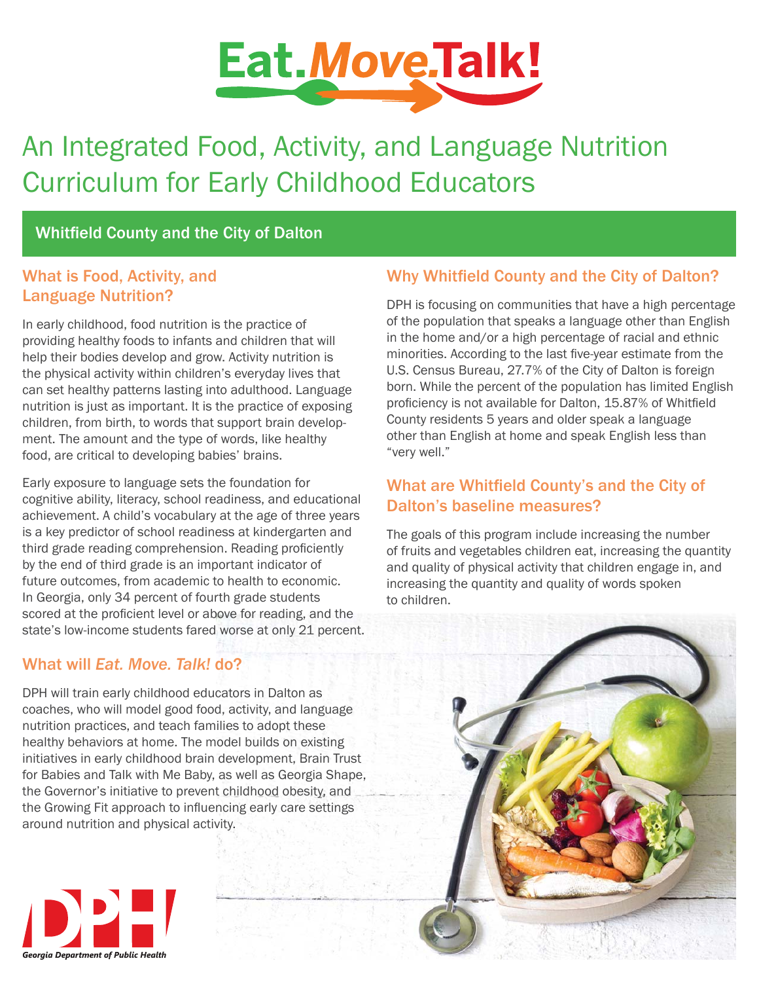

# An Integrated Food, Activity, and Language Nutrition Curriculum for Early Childhood Educators

# Whitfield County and the City of Dalton

## What is Food, Activity, and Language Nutrition?

In early childhood, food nutrition is the practice of providing healthy foods to infants and children that will help their bodies develop and grow. Activity nutrition is the physical activity within children's everyday lives that can set healthy patterns lasting into adulthood. Language nutrition is just as important. It is the practice of exposing children, from birth, to words that support brain development. The amount and the type of words, like healthy food, are critical to developing babies' brains.

Early exposure to language sets the foundation for cognitive ability, literacy, school readiness, and educational achievement. A child's vocabulary at the age of three years is a key predictor of school readiness at kindergarten and third grade reading comprehension. Reading proficiently by the end of third grade is an important indicator of future outcomes, from academic to health to economic. In Georgia, only 34 percent of fourth grade students scored at the proficient level or above for reading, and the state's low-income students fared worse at only 21 percent.

## What will *Eat. Move. Talk!* do?

DPH will train early childhood educators in Dalton as coaches, who will model good food, activity, and language nutrition practices, and teach families to adopt these healthy behaviors at home. The model builds on existing initiatives in early childhood brain development, Brain Trust for Babies and Talk with Me Baby, as well as Georgia Shape, the Governor's initiative to prevent childhood obesity, and the Growing Fit approach to influencing early care settings around nutrition and physical activity.

# Why Whitfield County and the City of Dalton?

DPH is focusing on communities that have a high percentage of the population that speaks a language other than English in the home and/or a high percentage of racial and ethnic minorities. According to the last five-year estimate from the U.S. Census Bureau, 27.7% of the City of Dalton is foreign born. While the percent of the population has limited English proficiency is not available for Dalton, 15.87% of Whitfield County residents 5 years and older speak a language other than English at home and speak English less than "very well."

# What are Whitfield County's and the City of Dalton's baseline measures?

The goals of this program include increasing the number of fruits and vegetables children eat, increasing the quantity and quality of physical activity that children engage in, and increasing the quantity and quality of words spoken to children.